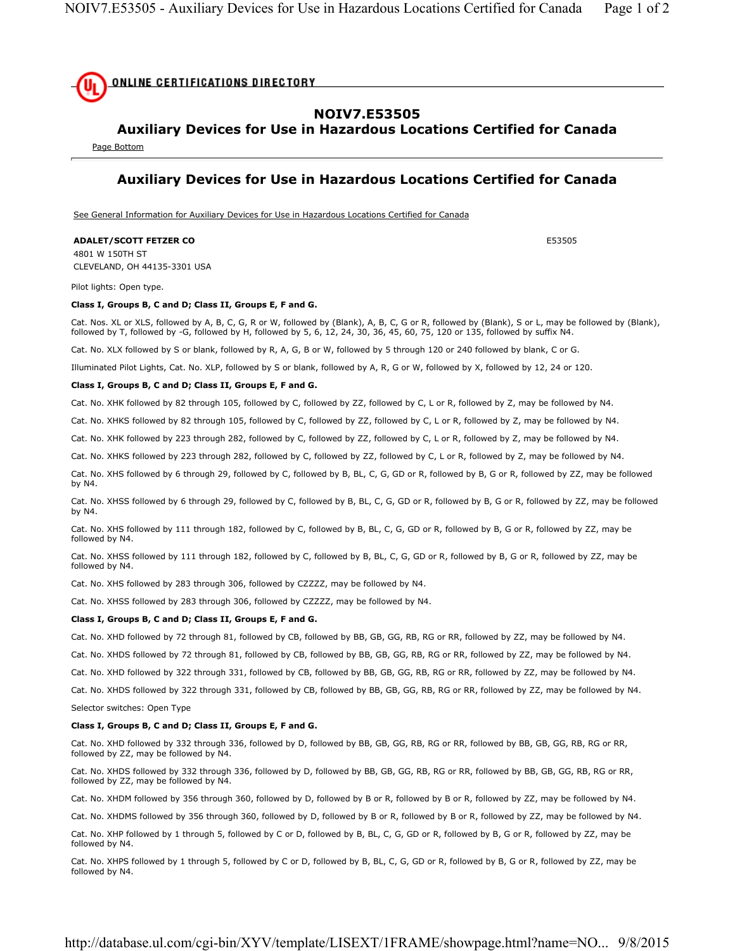

## **NOIV7.E53505**

# **Auxiliary Devices for Use in Hazardous Locations Certified for Canada**

Page Bottom

## **Auxiliary Devices for Use in Hazardous Locations Certified for Canada**

See General Information for Auxiliary Devices for Use in Hazardous Locations Certified for Canada

### **ADALET/SCOTT FETZER CO E53505**

4801 W 150TH ST CLEVELAND, OH 44135-3301 USA

Pilot lights: Open type.

#### **Class I, Groups B, C and D; Class II, Groups E, F and G.**

Cat. Nos. XL or XLS, followed by A, B, C, G, R or W, followed by (Blank), A, B, C, G or R, followed by (Blank), S or L, may be followed by (Blank), followed by T, followed by -G, followed by H, followed by 5, 6, 12, 24, 30, 36, 45, 60, 75, 120 or 135, followed by suffix N4.

Cat. No. XLX followed by S or blank, followed by R, A, G, B or W, followed by 5 through 120 or 240 followed by blank, C or G.

Illuminated Pilot Lights, Cat. No. XLP, followed by S or blank, followed by A, R, G or W, followed by X, followed by 12, 24 or 120.

#### **Class I, Groups B, C and D; Class II, Groups E, F and G.**

Cat. No. XHK followed by 82 through 105, followed by C, followed by ZZ, followed by C, L or R, followed by Z, may be followed by N4.

Cat. No. XHKS followed by 82 through 105, followed by C, followed by ZZ, followed by C, L or R, followed by Z, may be followed by N4.

Cat. No. XHK followed by 223 through 282, followed by C, followed by ZZ, followed by C, L or R, followed by Z, may be followed by N4.

Cat. No. XHKS followed by 223 through 282, followed by C, followed by ZZ, followed by C, L or R, followed by Z, may be followed by N4.

Cat. No. XHS followed by 6 through 29, followed by C, followed by B, BL, C, G, GD or R, followed by B, G or R, followed by ZZ, may be followed by N4.

Cat. No. XHSS followed by 6 through 29, followed by C, followed by B, BL, C, G, GD or R, followed by B, G or R, followed by ZZ, may be followed by N4.

Cat. No. XHS followed by 111 through 182, followed by C, followed by B, BL, C, G, GD or R, followed by B, G or R, followed by ZZ, may be followed by N4.

Cat. No. XHSS followed by 111 through 182, followed by C, followed by B, BL, C, G, GD or R, followed by B, G or R, followed by ZZ, may be followed by N4.

Cat. No. XHS followed by 283 through 306, followed by CZZZZ, may be followed by N4.

Cat. No. XHSS followed by 283 through 306, followed by CZZZZ, may be followed by N4.

#### **Class I, Groups B, C and D; Class II, Groups E, F and G.**

Cat. No. XHD followed by 72 through 81, followed by CB, followed by BB, GB, GG, RB, RG or RR, followed by ZZ, may be followed by N4.

Cat. No. XHDS followed by 72 through 81, followed by CB, followed by BB, GB, GG, RB, RG or RR, followed by ZZ, may be followed by N4.

Cat. No. XHD followed by 322 through 331, followed by CB, followed by BB, GB, GG, RB, RG or RR, followed by ZZ, may be followed by N4.

Cat. No. XHDS followed by 322 through 331, followed by CB, followed by BB, GB, GG, RB, RG or RR, followed by ZZ, may be followed by N4.

Selector switches: Open Type

#### **Class I, Groups B, C and D; Class II, Groups E, F and G.**

Cat. No. XHD followed by 332 through 336, followed by D, followed by BB, GB, GG, RB, RG or RR, followed by BB, GB, GG, RB, RG or RR, followed by ZZ, may be followed by N4.

Cat. No. XHDS followed by 332 through 336, followed by D, followed by BB, GB, GG, RB, RG or RR, followed by BB, GB, GG, RB, RG or RR, followed by ZZ, may be followed by N4.

Cat. No. XHDM followed by 356 through 360, followed by D, followed by B or R, followed by B or R, followed by ZZ, may be followed by N4.

Cat. No. XHDMS followed by 356 through 360, followed by D, followed by B or R, followed by B or R, followed by ZZ, may be followed by N4.

Cat. No. XHP followed by 1 through 5, followed by C or D, followed by B, BL, C, G, GD or R, followed by B, G or R, followed by ZZ, may be followed by N4.

Cat. No. XHPS followed by 1 through 5, followed by C or D, followed by B, BL, C, G, GD or R, followed by B, G or R, followed by ZZ, may be followed by N4.